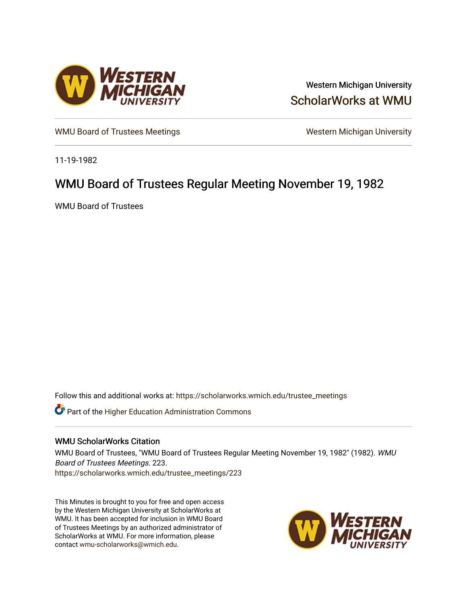

Western Michigan University [ScholarWorks at WMU](https://scholarworks.wmich.edu/) 

[WMU Board of Trustees Meetings](https://scholarworks.wmich.edu/trustee_meetings) Western Michigan University

11-19-1982

# WMU Board of Trustees Regular Meeting November 19, 1982

WMU Board of Trustees

Follow this and additional works at: [https://scholarworks.wmich.edu/trustee\\_meetings](https://scholarworks.wmich.edu/trustee_meetings?utm_source=scholarworks.wmich.edu%2Ftrustee_meetings%2F223&utm_medium=PDF&utm_campaign=PDFCoverPages)

**C** Part of the Higher Education Administration Commons

# WMU ScholarWorks Citation

WMU Board of Trustees, "WMU Board of Trustees Regular Meeting November 19, 1982" (1982). WMU Board of Trustees Meetings. 223. [https://scholarworks.wmich.edu/trustee\\_meetings/223](https://scholarworks.wmich.edu/trustee_meetings/223?utm_source=scholarworks.wmich.edu%2Ftrustee_meetings%2F223&utm_medium=PDF&utm_campaign=PDFCoverPages)

This Minutes is brought to you for free and open access by the Western Michigan University at ScholarWorks at WMU. It has been accepted for inclusion in WMU Board of Trustees Meetings by an authorized administrator of ScholarWorks at WMU. For more information, please contact [wmu-scholarworks@wmich.edu](mailto:wmu-scholarworks@wmich.edu).

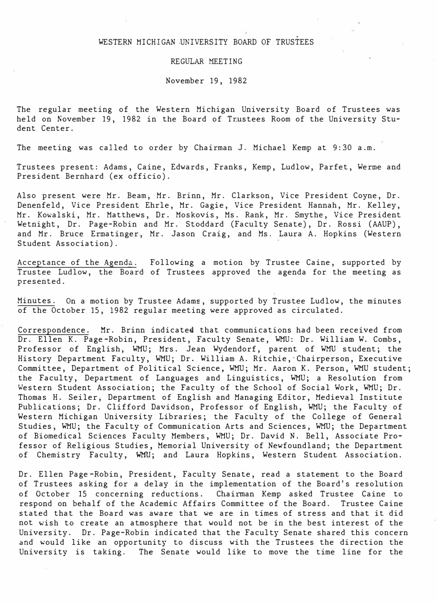# .<br>.<br>m WESTERN MICHIGAN -UNIVERSITY BOARD OF TRUSTEES

#### REGULAR MEETING

November 19, 1982

The regular meeting of the Western Michigan University Board of Trustees was held on November 19, 1982 in the Board of Trustees Room of the University Student Center.

The meeting was called to order by Chairman J. Michael Kemp at 9:30 a.m.

Trustees present: Adams, Caine, Edwards, Franks, Kemp, Ludlow, Parfet, Werme and President Bernhard (ex officio).

Also present were Mr. Beam, Mr. Brinn, Mr. Clarkson, Vice President Coyne, Dr. Denenfeld, Vice President Ehrle, Mr. Gagie, Vice President Hannah, Mr. Kelley, Mr. Kowalski, Mr. Matthews, Dr. Moskovis, Ms. Rank, Mr. Smythe, Vice President Wetnight, Dr. Page-Robin and Mr. Stoddard (Faculty Senate), Dr. Rossi (AAUP), and Mr. Bruce Ermatinger, Mr. Jason Craig, and Ms. Laura A. Hopkins (Western Student Association).

Acceptance of the Agenda. Following a motion by Trustee Caine, supported by Trustee Ludlow, the Board of Trustees approved the agenda for the meeting as presented.

Minutes. On a motion by Trustee Adams, supported by Trustee Ludlow, the minutes of the October 15, 1982 regular meeting were approved as circulated.

I

Correspondence. Mr. Brinn indicated that communications had been received from Dr. Ellen K. Page-Robin, President, Faculty Senate, WMU: Dr. William W. Combs, Professor of English, WMU; Mrs. Jean Wydendorf, parent of WMlJ student; the History Department Faculty, WMU; Dr. William A. Ritchie,·Chairperson, Executive Committee, Department of Political Science, WMU; Mr. Aaron K. Person, WMU student; the Faculty, Department of Languages and Linguistics, WMU; a Resolution from Western Student Association; the Faculty of the School of Social Work, WMU; Dr. Thomas H. Seiler, Department of English and Managing Editor, Medieval Institute Publications; Dr. Clifford Davidson, Professor of English, WMU; the Faculty of Western Michigan University Libraries; the Faculty of the College of General Studies, WMU; the Faculty of Communication Arts and Sciences, WMU; the Department of Biomedical Sciences Faculty Members, WMU; Dr. David N. Bell, Associate Professor of Religious Studies, Memorial University of Newfoundland; the Department of Chemistry Faculty, WMU; and Laura Hopkins, Western Student Association.

Dr. Ellen Page-Robin, President, Faculty Senate, read a statement to the Board of Trustees asking for a delay in the implementation of the Board's resolution of October 15 concerning reductions. Chairman Kemp asked Trustee Caine to respond on behalf of the Academic Affairs Committee of the Board. Trustee Caine stated that the Board was aware that we are in times of stress and that it did not wish to create an atmosphere that would not be in the best interest of the University. Dr. Page-Robin indicated that the Faculty Senate shared this concern and would like an opportunity to discuss with the Trustees the direction the University is taking. The Senate would like to move the time line for the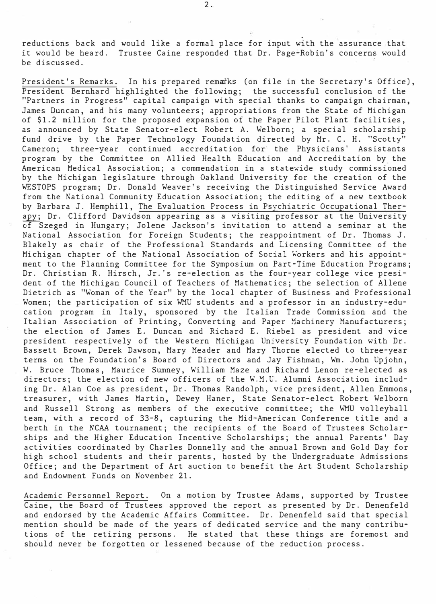.<br>.<br>. reductions back and would like a formal place for input with the assurance that it would be heard. Trustee Caine responded that Dr. Page-Robin's concerns would be discussed.

President's Remarks. In his prepared remaiks (on file in the Secretary's Office), President Bernhard highlighted the following; the successful conclusion of the "Partners in Progress" capital campaign with special thanks to campaign chairman, James Duncan, and his many volunteers; appropriations from the State of Michigan of \$1.2 million for the proposed expansion of the Paper Pilot Plant facilities, as announced by State Senator-elect Robert A. Welborn; a special scholarship fund drive by the Paper Technology Foundation directed by Mr. C. H. "Scotty" Cameron; three-year continued accreditation for the Physicians' Assistants program by the Committee on Allied Health Education and Accreditation by the American Medical Association; a commendation in a statewide study commissioned by the Michigan legislature through Oakland University for the creation of the WESTOPS program; Dr. Donald Weaver's receiving the Distinguished Service Award from the National Community Education Association; the editing of a new textbook by Barbara J. Hemphill, The Evaluation Process in Psychiatric Occupational Therapy; Dr. Clifford Davidson appearing as a visiting professor at the University of Szeged in Hungary; Jolene Jackson's invitation to attend a seminar at the National Association for. Foreign Students; the reappointment of Dr. Thomas J. Blakely as chair of the Professional Standards and licensing Committee of the Michigan chapter of the National Association of Social workers and his appointment to the Planning Committee for the Symposium on Part-Time Education Programs; Dr. Christian R. Hirsch, Jr. 's re-election as the four-year college vice president of the Michigan Council of Teachers of Mathematics; the selection of Allene Dietrich as "Woman of the Year" by the local chapter of Business and Professional Women; the participation of six WMU students and a professor in an industry-education program in Italy, sponsored by the Italian Trade Commission and the Italian Association of Printing, Converting and Paper Machinery Manufacturers; the election of James E. Duncan and Richard E. Riebel as president and vice president respectively of the Western Michigan University Foundation with Dr. Bassett Brown, Derek Dawson, Mary Meader and Mary Thorne elected to three-year terms on the Foundation's Board of Directors and Jay Fishman, Wm. John Upjohn, W. Bruce Thomas, Maurice Sumney, William Maze and Richard Lenon re-elected as directors; the election of new officers of the W.M.U. Alumni Association including Dr. Alan Coe as president, Dr. Thomas Randolph, vice president, Allen Emmons, treasurer, with James Martin, Dewey Haner, State Senator-elect Robert Welborn and Russell Strong as members of the executive committee; the WMU volleyball team, with a record of 33-8, capturing the Mid-American Conference title and a berth in the NCAA tournament; the recipients of the Board of Trustees Scholarships and the Higher Education Incentive Scholarships; the annual Parents' Day activities coordinated by Charles Donnelly and the annual Brown and Gold Day for high school students and their parents, hosted by the Undergraduate Admissions Office; and the Department of Art auction to benefit the Art Student Scholarship and Endowment Funds on November 21.

Academic Personnel Report. On a motion by Trustee Adams, supported by Trustee Caine, the Board of Trustees approved the report as presented by Dr. Denenfeld and endorsed by the Academic Affairs Committee. Dr. Denenfeld said that special mention should be made of the years of dedicated service and the many contributions of the retiring persons. He stated that these things are foremost and should never be forgotten or lessened because of the reduction process.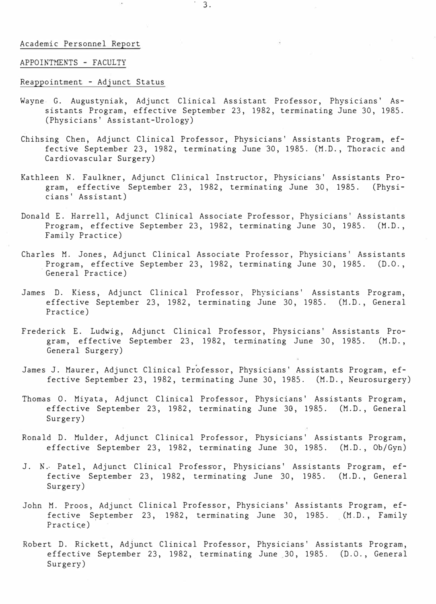#### Academic Personnel Report

# APPOINTMENTS - FACULTY

# Reappointment - Adjunct Status

- Wayne- G. Augustyniak, Adjunct Clinical Assistant Professor, Physicians' Assistants Program, effective September 23, 1982, terminating June 30, 1985. (Physicians' Assistant-Urology)
- Chihsing Chen, Adjunct Clinical Professor, Physicians' Assistants Program, effective September 23, 1982, terminating June 30, 1985. (M.D., Thoracic and Cardiovascular Surgery)
- Kathleen N. Faulkner, Adjunct Clinical Instructor, Physicians' Assistants Program, effective September 23, 1982, terminating June 30, cians' Assistant) 1985. (Physi-
- Donald E. Harrell, Adjunct Clinical Associate Professor, Physicians' Assistants Program, effective September 23, 1982, terminating June 30, 1985. (M.D., Family Practice)
- Charles M. Jones, Adjunct Clinical Associate Professor, Physicians' Assistants Program, effective September 23, 1982, terminating June 30, 1985. (D.O., General Practice)
- James D. Kiess, Adjunct Clinical Professor, Physicians' Assistants Program, effective September 23, 1982, terminating June 30, 1985. (M.D., General Practice)
- Frederick E. Ludwig, Adjunct Clinical Professor, Physicians' Assistants Program, effective September 23, 1982, terminating June 30, 1985. (M.D., General Surgery)
- James J. Maurer, Adjunct Clinical Professor, Physicians' Assistants Program, effective September 23, 1982, terminating June 30, 1985. (M.D., Neurosurgery)
- Thomas 0. Miyata, Adjunct Clinical Professor, Physicians' Assistants Program, effective September 23, 1982, terminating June 30, 1985. (M.D., General Surgery)
- Ronald D. Mulder, Adjunct Clinical Professor, Physicians' Assistants Program, effective September 23, 1982, terminating June 30, 1985. (M.D., Ob/Gyn)
- J. N. Patel, Adjunct Clinical Professor, Physicians' Assistants Program, effective September 23, 1982, terminating June 30, 1985. (M.D., General Surgery)
- John M. Proos, Adjunct Clinical Professor, Physicians' Assistants Program, effective September 23, 1982, terminating June 30, 1985. (M.D., Family Practice)
- Robert D. Rickett, Adjunct Clinical Professor, Physicians' Assistants Program, effective September 23, 1982, terminating June 30, 1985. (D.O., General Surgery)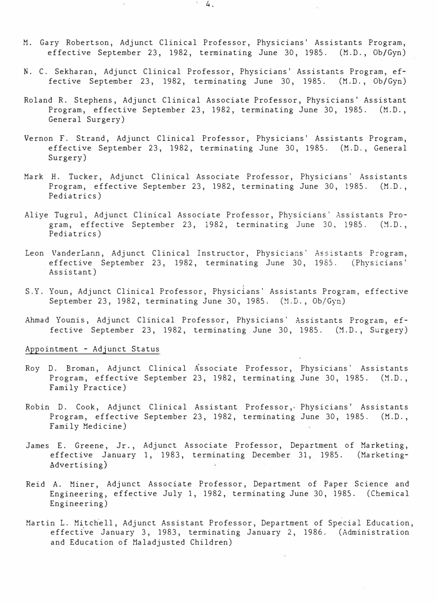- M. Gary Robertson, Adjunct Clinical Professor, Physicians' Assistants Program, effective September 23, 1982, terminating June 30, 1985. (M.D., Ob/Gyn)
- N. C. Sekharan, Adjunct Clinical Professor, Physicians' Assistants Program, effective September 23, 1982, terminating June 30, 1985. (M.D., Ob/Gyn)
- Roland R. Stephens, Adjunct Clinical Associate Professor, Physicians' Assistant Program, effective September 23, 1982, terminating June 30, 1985. (M.D., General Surgery)
- Vernon F. Strand, Adjunct Clinical Professor, Physicians' Assistants Program, effective September 23, 1982, terminating June 30, 1985. (M.D., General Surgery)
- Mark H. Tucker, Adjunct Clinical Associate Professor, Physicians' Assistants Program, effective September 23, 1982, terminating June 30, 1985. (M.D., Pediatrics)
- Aliye Tugrul, Adjunct Clinical Associate Professor, Physicians' Assistants Program, effective September 23, 1982, terminating June 30, 1985. (M.D., Pediatrics)
- Leon VanderLann, Adjunct Clinical Instructor, Physicians' Assistants Program, effective September 23, 1982, terminating June 30, 1985. (Physicians' Assistant)
- S.Y. Youn, Adjunct Clinical Professor, Physicians' Assistants Program, effective September 23, 1982, terminating June 30, 1985. (M.D., Ob/Gyn)
- Ahmad Younis, Adjunct Clinical Professor, Physicians' Assistants Program, effective September 23, 1982, terminating June 30, 1985. (M.D., Surgery)

# Appointment - Adjunct Status

- Roy D. Broman, Adjunct Clinical Associate Professor, Physicians' Assistants Program, effective September 23, 1982, terminating June 30, 1985. (M.D., Family Practice)
- Robin D. Cook, Adjunct Clinical Assistant Professor,, Physicians' Assistants Program, effective September 23, 1982, terminating June 30, 1985. (M.D., Family Medicine)
- James E. Greene, Jr., Adjunct Associate Professor, Department of Marketing, effective January 1, 1983, terminating December 31, 1985. (Marketing-Advertising)
- Reid A. Miner, Adjunct Associate Professor, Department of Paper Science and Engineering, effective July 1, 1982, terminating June 30, 1985. (Chemical Engineering)
- Martin L. Mitchell, Adjunct Assistant Professor, Department of Special Education, effective January 3, 1983, terminating January 2, 1986. (Administration and Education of Maladjusted Children)

4.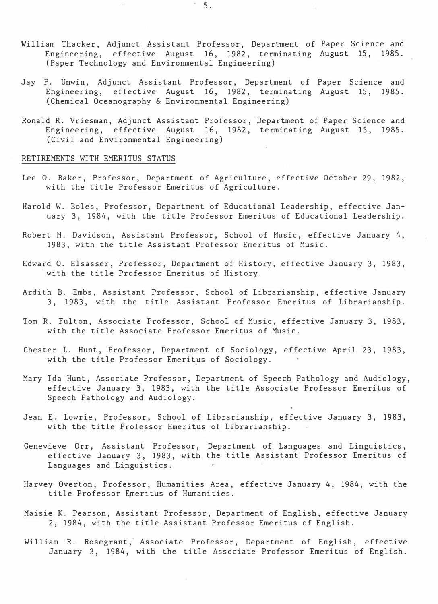- William Thacker, Adjunct Assistant Professor, Department of Paper Science and Engineering, effective August 16, 1982, terminating August 15, 1985. (Paper Technology and Environmental Engineering)
- Jay P. Unwin, Adjunct Assistant Professor, Department of Paper Science and Engineering, effective August 16, 1982, terminating August 15, 1985. (Chemical Oceanography & Environmental Engineering)
- Ronald R. Vriesman, Adjunct Assistant Professor, Department of Paper Science and Engineering, effective August 16, 1982, terminating August 15, 1985. (Civil and Environmental Engineering)

# RETIREMENTS WITH EMERITUS STATUS

- Lee 0. Baker, Professor, Department of Agriculture, effective October 29, 1982, with the title Professor Emeritus of Agriculture.
- Harold W. Boles, Professor, Department of Educational Leadership, effective January 3, 1984, with the title Professor Emeritus of Educational Leadership.
- Robert M. Davidson, Assistant Professor, School of Music, effective January 4, 1983, with the title Assistant Professor Emeritus of Music.
- Edward 0. Elsasser, Professor, Department of History, effective January 3, 1983, with the title Professor Emeritus of History.
- Ardith B. Embs, Assistant Professor, School of Librarianship, effective January 3, 1983, with the title Assistant Professor Emeritus of Librarianship.
- Tom R. Fulton, Associate Professor, School of Music, effective January 3, 1983, with the title Associate Professor Emeritus of Music.
- Chester L. Hunt, Professor, Department of Sociology, effective April 23, 1983, with the title Professor Emeritus of Sociology.
- Mary Ida Hunt, Associate Professor, Department of Speech Pathology and Audiology, effective January 3, 1983, with the title Associate Professor Emeritus of Speech Pathology and Audiology.
- Jean E. Lowrie, Professor, School of Librarianship, effective January 3, 1983, with the title Professor Emeritus of Librarianship.
- Genevieve Orr, Assistant Professor, effective January 3, 1983, with Languages and Linguistics. Department of Languages and Linguistics, the title Assistant Professor Emeritus of
- Harvey Overton, Professor, Humanities Area, effective January 4, 1984, with the title Professor Emeritus of Humanities.
- Maisie K. Pearson, Assistant Professor, Department of English, effective January 2, 1984, �ith the title Assistant Professor Emeritus of English.
- William R. Rosegrant, Associate Professor, Department of English, effective January 3, 1984, with the title Associate Professor Emeritus of English.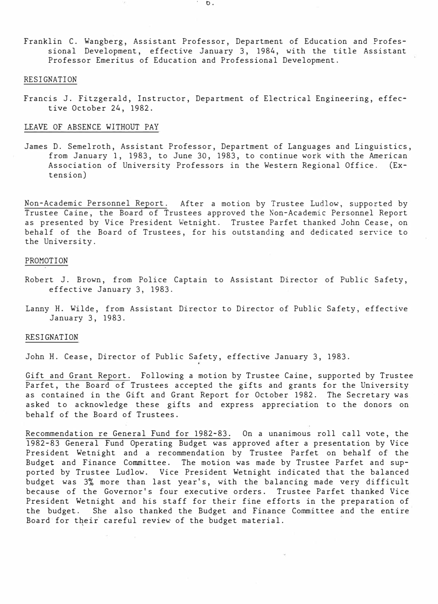Franklin C. Wangberg, Assistant Professor, Department of Education and Professional Development, effective January 3, 1984, with the title Assistant Professor Emeritus of Education and Professional Development.

#### RESIGNATION

Francis J. Fitzgerald, Instructor, Department of Electrical Engineering, effective October 24, 1982.

#### LEAVE OF ABSENCE WITHOUT PAY

James D. Semelroth, Assistant Professor, Department of Languages and Linguistics, from January 1, 1983, to June 30, 1983, to continue work with the American Association of University Professors in the Western Regional Office. **(Ex**tension)

Non-Academic Personnel Report. After a motion by Trustee Ludlow, supported by Trustee Caine, the Board of Trustees approved the Non-Academic Personnel Report as presented by Vice President Wetnight. Trustee Parfet thanked John Cease, on behalf of the Board of Trustees, for his outstanding and dedicated service to the University.

# PROMOTION

- Robert J. Brown, from Police Captain to Assistant Director of Public Safety, effective January 3, 1983.
- Lanny H. Wilde, from Assistant Director to Director of Public Safety, effective January 3, 1983.

#### RESIGNATION

John H. Cease, Director of Public Safety, effective January 3, 1983.

Gift and Grant Report. Following a motion by Trustee Caine, supported by Trustee Parfet, the Board of Trustees accepted the gifts and grants for the University as contained in the Gift and Grant Report for October 1982. The Secretary was asked to acknowledge these gifts and express appreciation to the donors on behalf of the Board of Trustees.

Recommendation re General Fund for 1982-83. On a unanimous roll call vote, the 1982-83 General Fund Operating Budget was approved after a presentation by Vice President Wetnight and a recommendation by Trustee Parfet on behalf of the Budget and Finance Committee. The motion was made by Trustee Parfet and supported by Trustee Ludlow. Vice President Wetnight indicated that the balanced budget was 3% more than last year's, with the balancing made very difficult because of the Governor's four executive orders. Trustee Parfet thanked Vice President Wetnight and his staff for their fine efforts in the preparation of the budget. She also thanked the Budget and Finance Committee and the entire Board for their careful review of the budget material.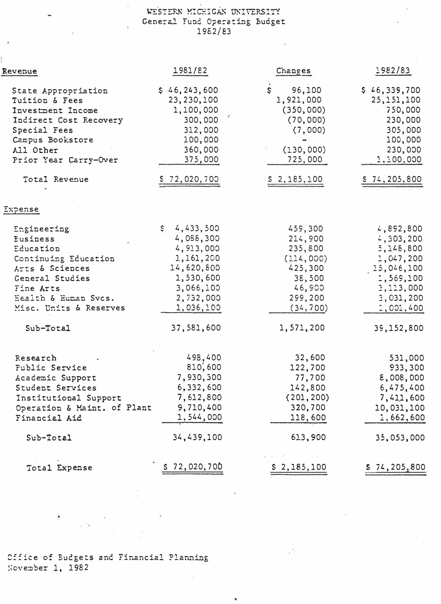# WESTERN MICHIGAN UNIVERSITY General Fund Operating Budget 1962/83

| Revenue                                                                                                                                                                                             | 1981/82                                                                                                                                   | Changes                                                                                                         | 1982/83                                                                                                                               |
|-----------------------------------------------------------------------------------------------------------------------------------------------------------------------------------------------------|-------------------------------------------------------------------------------------------------------------------------------------------|-----------------------------------------------------------------------------------------------------------------|---------------------------------------------------------------------------------------------------------------------------------------|
| State Appropriation<br>Tuition & Fees<br>Investment Income<br>Indirect Cost Recovery<br>Special Fees<br>Campus Bookstore<br>All Other<br>Prior Year Carry-Over                                      | \$46, 243, 600<br>23, 230, 100<br>1,100,000<br>300,000<br>312,000<br>100,000<br>360,000<br>375,000                                        | \$<br>96,100<br>1,921,000<br>(350,000)<br>(70,000)<br>(7,000)<br>(130,000)<br>725,000                           | \$46,339,700<br>25, 151, 100<br>750,000<br>230,000<br>305,000<br>100,000<br>230,000<br>1,100,000                                      |
| Total Revenue                                                                                                                                                                                       | \$72,020,700                                                                                                                              | \$2,185,100                                                                                                     | 574, 205, 800                                                                                                                         |
| Expense                                                                                                                                                                                             |                                                                                                                                           |                                                                                                                 |                                                                                                                                       |
| Engineering<br><b><i><u>Business</u></i></b><br>Education<br>Continuing Education<br>Arts & Sciences<br>General Studies<br>Fine Arts<br>Eealth & Euman Svos.<br>Misc. Units & Reserves<br>Sub-Total | 4,433,500<br>\$.<br>4,088,300<br>4, 913, 000<br>1,161,200<br>14,620,800<br>1,530,600<br>3,066,100<br>2,732,000<br>1,036,100<br>37,581,600 | 459,300<br>214,900<br>235,800<br>(114, 000)<br>425,300<br>38,500<br>46,900<br>299,200<br>(34, 700)<br>1,571,200 | 4,892,800<br>4, 303, 200<br>5,148,800<br>2,047,200<br>15,046,100<br>1,569,100<br>3, 113, 000<br>3,031,200<br>: 001, 400<br>39,152,800 |
| Research<br>Public Service<br><b><i>Academic Support</i></b><br>Student Services<br>Institutional Support<br>Operation & Maint. of Plant<br>Financial Aid                                           | 498,400<br>810,600<br>7,930,300<br>6,332,600<br>7,612,800<br>9,710,400<br>1,544,000                                                       | 32,600<br>122,700<br>77,700<br>142,800<br>(201, 200)<br>320,700<br>118,600                                      | 531,000<br>933,300<br>8,008,000<br>6,475,400<br>7,411,600<br>10,031,100<br>: 662,600                                                  |
| Sub-Total                                                                                                                                                                                           | 34,439,100                                                                                                                                | 613,900                                                                                                         | 35,053,000                                                                                                                            |
| Total Expense                                                                                                                                                                                       | <u>s 72,020,700</u>                                                                                                                       | \$2,185,100                                                                                                     | $S$ 74, 205, 800                                                                                                                      |

Office of Budgets and Financial Planning November 1, 1982

ï

 $\overline{\phantom{a}}$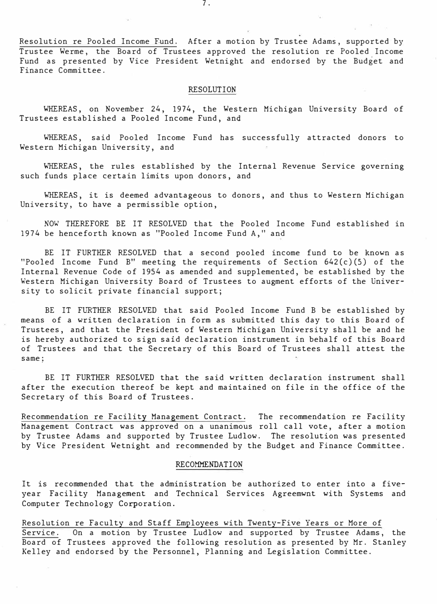Resolution re Pooled Income Fund. After a motion by Trustee Adams, supported by Trustee Werme, the Board of Trustees approved the resolution re Pooled Income Fund as presented by Vice President Wetnight and endorsed by the Budget and Finance Committee.

# RESOLUTION

WHEREAS, on November 24, 1974, the Western Michigan University Board of Trustees established a Pooled Income Fund, and

WHEREAS, said Pooled Income Fund has successfully attracted donors to Western Michigan University, and

WHEREAS, the rules established by the Internal Revenue Service governing such funds place certain limits upon donors, and

WHEREAS, it is deemed advantageous to donors, and thus to Western Michigan University, to have a permissible option,

NOW THEREFORE BE IT RESOLVED that the Pooled Income Fund established in 1974 be henceforth known as "Pooled Income Fund A," and

BE IT FURTHER RESOLVED that a second pooled income fund to be known as "Pooled Income Fund B" meeting the requirements of Section 642(c) (5) of the Internal Revenue Code of 1954 as amended and supplemented, be established by the western Michigan University Board of Trustees to augment efforts of the University to solicit private financial support;

BE IT FURTHER RESOLVED that said Pooled Income Fund B be established by means of a written declaration in form as submitted this day to this Board of Trustees, and that the President of Western Michigan University shall be and he is hereby authorized to sign said declaration instrument in behalf of this Board of Trustees and that the Secretary of this Board of Trustees shall attest the same;

BE IT FURTHER RESOLVED that the said written declaration instrument shall after the execution thereof be kept and maintained on file in the office of the Secretary of this Board of Trustees.

Recommendation re Facility Management Contract. The recommendation re Facility Management Contract was approved on a unanimous roll call vote, after a motion by Trustee Adams and supported by Trustee Ludlow. The resolution was presented by Vice President Wetnight and recommended by the Budget and Finance Committee.

# RECOMMENDATION

It is recommended that the administration be authorized to enter into a fiveyear Facility Management and Technical Services Agreemwnt with Systems and Computer Technology Corporation.

Resolution re Faculty and Staff Employees with Twenty-Five Years or More of Service. On a motion by Trustee Ludlow and supported by Trustee Adams, the Board of Trustees approved the following resolution as presented by Mr. Stanley Kelley and endorsed by the Personnel, Planning and Legislation Committee.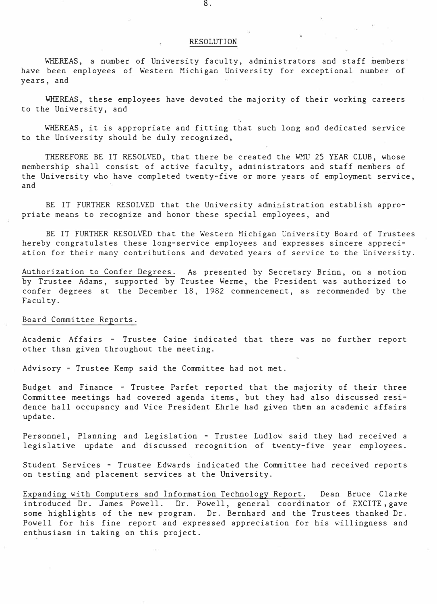#### RESOLUTION

WHEREAS, a number of University faculty, administrators and staff members have been employees of Western Michigan University for exceptional number of years, and

WHEREAS, these employees have devoted the majority of their working careers to the University, and

WHEREAS, it is appropriate and fitting that such long and dedicated service to the University should be duly recognized,

THEREFORE BE IT RESOLVED, that there be created the WMU 25 YEAR CLUB, whose membership shall consist of active faculty, administrators and staff members of the University who have completed twenty-five or more years of employment service, and

BE IT FURTHER RESOLVED that the University administration establish appropriate means to recognize and honor these special employees, and

BE IT FURTHER RESOLVED that the Western Michigan University Board of Trustees hereby congratulates these long-service employees and expresses sincere appreciation for their many contributions and devoted years of service to the University.

Authorization to Confer Degrees. As presented by Secretary Brinn, on a motion by Trustee Adams, supported by Trustee Werme, the President was authorized to confer degrees at the December 18, 1982 commencement, as recommended by the Faculty.

# Board Committee Reports.

Academic Affairs - Trustee Caine indicated that there was no further report other than given throughout the meeting.

Advisory - Trustee Kemp said the Committee had not met.

Budget and Finance - Trustee Parfet reported that the majority of their three Committee meetings had covered agenda items, but they had also discussed residence hall occupancy and Vice President Ehrle had given them an academic affairs update.

Personnel, Planning and Legislation - Trustee Ludlow said they had received a legislative update and discussed recognition of twenty-five year employees.

Student Services - Trustee Edwards indicated the Committee had received reports on testing and placement services at the University.

Expanding with Computers and Information Technology Report. Dean Bruce Clarke introduced Dr. James Powell. Dr. Powell, general coordinator of EXCITE , gave some highlights of the new program. Dr. Bernhard and the Trustees thanked Dr. Powell for his fine report and expressed appreciation for his willingness and enthusiasm in taking on this project.